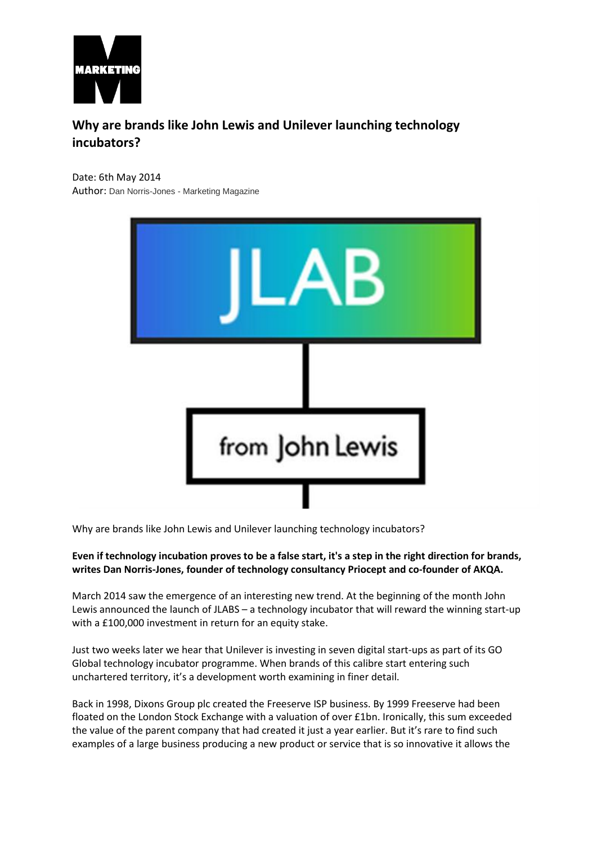

# **Why are brands like John Lewis and Unilever launching technology incubators?**

Date: 6th May 2014 Author: Dan Norris-Jones - Marketing Magazine



Why are brands like John Lewis and Unilever launching technology incubators?

#### **Even if technology incubation proves to be a false start, it's a step in the right direction for brands, writes Dan Norris-Jones, founder of technology consultancy Priocept and co-founder of AKQA.**

March 2014 saw the emergence of an interesting new trend. At the beginning of the month John Lewis announced the launch of JLABS – a technology incubator that will reward the winning start-up with a £100,000 investment in return for an equity stake.

Just two weeks later we hear that Unilever is investing in seven digital start-ups as part of its GO Global technology incubator programme. When brands of this calibre start entering such unchartered territory, it's a development worth examining in finer detail.

Back in 1998, Dixons Group plc created the Freeserve ISP business. By 1999 Freeserve had been floated on the London Stock Exchange with a valuation of over £1bn. Ironically, this sum exceeded the value of the parent company that had created it just a year earlier. But it's rare to find such examples of a large business producing a new product or service that is so innovative it allows the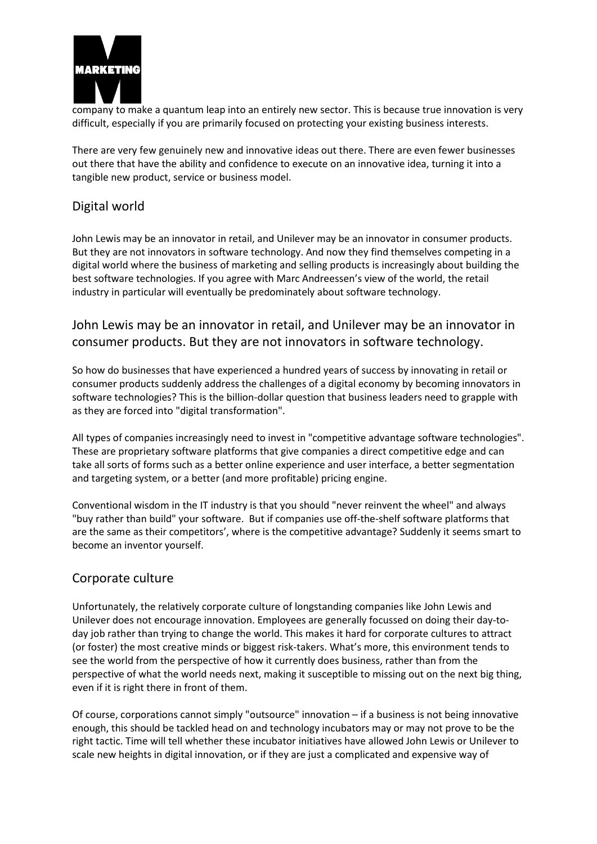

company to make a quantum leap into an entirely new sector. This is because true innovation is very difficult, especially if you are primarily focused on protecting your existing business interests.

There are very few genuinely new and innovative ideas out there. There are even fewer businesses out there that have the ability and confidence to execute on an innovative idea, turning it into a tangible new product, service or business model.

## Digital world

John Lewis may be an innovator in retail, and Unilever may be an innovator in consumer products. But they are not innovators in software technology. And now they find themselves competing in a digital world where the business of marketing and selling products is increasingly about building the best software technologies. If you agree with Marc Andreessen's view of the world, the retail industry in particular will eventually be predominately about software technology.

## John Lewis may be an innovator in retail, and Unilever may be an innovator in consumer products. But they are not innovators in software technology.

So how do businesses that have experienced a hundred years of success by innovating in retail or consumer products suddenly address the challenges of a digital economy by becoming innovators in software technologies? This is the billion-dollar question that business leaders need to grapple with as they are forced into "digital transformation".

All types of companies increasingly need to invest in "competitive advantage software technologies". These are proprietary software platforms that give companies a direct competitive edge and can take all sorts of forms such as a better online experience and user interface, a better segmentation and targeting system, or a better (and more profitable) pricing engine.

Conventional wisdom in the IT industry is that you should "never reinvent the wheel" and always "buy rather than build" your software. But if companies use off-the-shelf software platforms that are the same as their competitors', where is the competitive advantage? Suddenly it seems smart to become an inventor yourself.

#### Corporate culture

Unfortunately, the relatively corporate culture of longstanding companies like John Lewis and Unilever does not encourage innovation. Employees are generally focussed on doing their day-today job rather than trying to change the world. This makes it hard for corporate cultures to attract (or foster) the most creative minds or biggest risk-takers. What's more, this environment tends to see the world from the perspective of how it currently does business, rather than from the perspective of what the world needs next, making it susceptible to missing out on the next big thing, even if it is right there in front of them.

Of course, corporations cannot simply "outsource" innovation – if a business is not being innovative enough, this should be tackled head on and technology incubators may or may not prove to be the right tactic. Time will tell whether these incubator initiatives have allowed John Lewis or Unilever to scale new heights in digital innovation, or if they are just a complicated and expensive way of